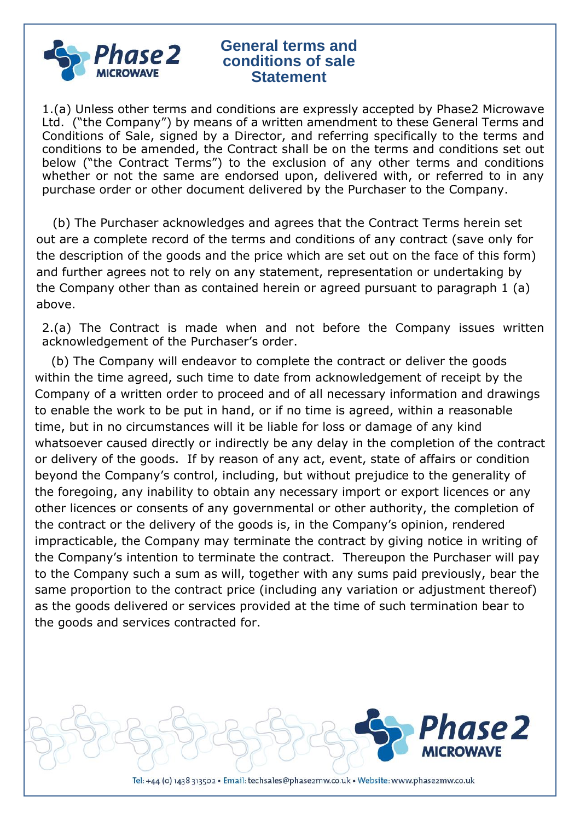

1.(a) Unless other terms and conditions are expressly accepted by Phase2 Microwave Ltd. ("the Company") by means of a written amendment to these General Terms and Conditions of Sale, signed by a Director, and referring specifically to the terms and conditions to be amended, the Contract shall be on the terms and conditions set out below ("the Contract Terms") to the exclusion of any other terms and conditions whether or not the same are endorsed upon, delivered with, or referred to in any purchase order or other document delivered by the Purchaser to the Company.

 (b) The Purchaser acknowledges and agrees that the Contract Terms herein set out are a complete record of the terms and conditions of any contract (save only for the description of the goods and the price which are set out on the face of this form) and further agrees not to rely on any statement, representation or undertaking by the Company other than as contained herein or agreed pursuant to paragraph 1 (a) above.

2.(a) The Contract is made when and not before the Company issues written acknowledgement of the Purchaser's order.

 (b) The Company will endeavor to complete the contract or deliver the goods within the time agreed, such time to date from acknowledgement of receipt by the Company of a written order to proceed and of all necessary information and drawings to enable the work to be put in hand, or if no time is agreed, within a reasonable time, but in no circumstances will it be liable for loss or damage of any kind whatsoever caused directly or indirectly be any delay in the completion of the contract or delivery of the goods. If by reason of any act, event, state of affairs or condition beyond the Company's control, including, but without prejudice to the generality of the foregoing, any inability to obtain any necessary import or export licences or any other licences or consents of any governmental or other authority, the completion of the contract or the delivery of the goods is, in the Company's opinion, rendered impracticable, the Company may terminate the contract by giving notice in writing of the Company's intention to terminate the contract. Thereupon the Purchaser will pay to the Company such a sum as will, together with any sums paid previously, bear the same proportion to the contract price (including any variation or adjustment thereof) as the goods delivered or services provided at the time of such termination bear to the goods and services contracted for.

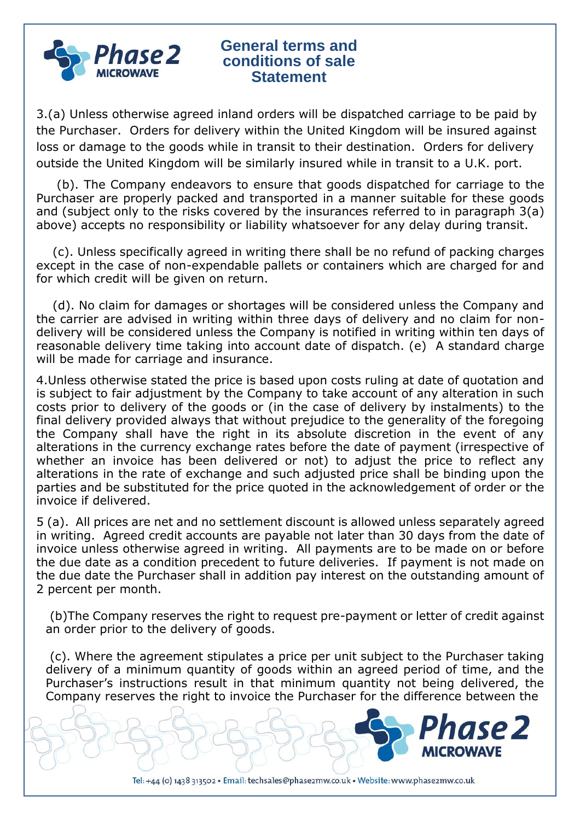

3.(a) Unless otherwise agreed inland orders will be dispatched carriage to be paid by the Purchaser. Orders for delivery within the United Kingdom will be insured against loss or damage to the goods while in transit to their destination. Orders for delivery outside the United Kingdom will be similarly insured while in transit to a U.K. port.

 (b). The Company endeavors to ensure that goods dispatched for carriage to the Purchaser are properly packed and transported in a manner suitable for these goods and (subject only to the risks covered by the insurances referred to in paragraph 3(a) above) accepts no responsibility or liability whatsoever for any delay during transit.

 (c). Unless specifically agreed in writing there shall be no refund of packing charges except in the case of non-expendable pallets or containers which are charged for and for which credit will be given on return.

 (d). No claim for damages or shortages will be considered unless the Company and the carrier are advised in writing within three days of delivery and no claim for nondelivery will be considered unless the Company is notified in writing within ten days of reasonable delivery time taking into account date of dispatch. (e) A standard charge will be made for carriage and insurance.

4.Unless otherwise stated the price is based upon costs ruling at date of quotation and is subject to fair adjustment by the Company to take account of any alteration in such costs prior to delivery of the goods or (in the case of delivery by instalments) to the final delivery provided always that without prejudice to the generality of the foregoing the Company shall have the right in its absolute discretion in the event of any alterations in the currency exchange rates before the date of payment (irrespective of whether an invoice has been delivered or not) to adjust the price to reflect any alterations in the rate of exchange and such adjusted price shall be binding upon the parties and be substituted for the price quoted in the acknowledgement of order or the invoice if delivered.

5 (a). All prices are net and no settlement discount is allowed unless separately agreed in writing. Agreed credit accounts are payable not later than 30 days from the date of invoice unless otherwise agreed in writing. All payments are to be made on or before the due date as a condition precedent to future deliveries. If payment is not made on the due date the Purchaser shall in addition pay interest on the outstanding amount of 2 percent per month.

(b)The Company reserves the right to request pre-payment or letter of credit against an order prior to the delivery of goods.

(c). Where the agreement stipulates a price per unit subject to the Purchaser taking delivery of a minimum quantity of goods within an agreed period of time, and the Purchaser's instructions result in that minimum quantity not being delivered, the Company reserves the right to invoice the Purchaser for the difference between the

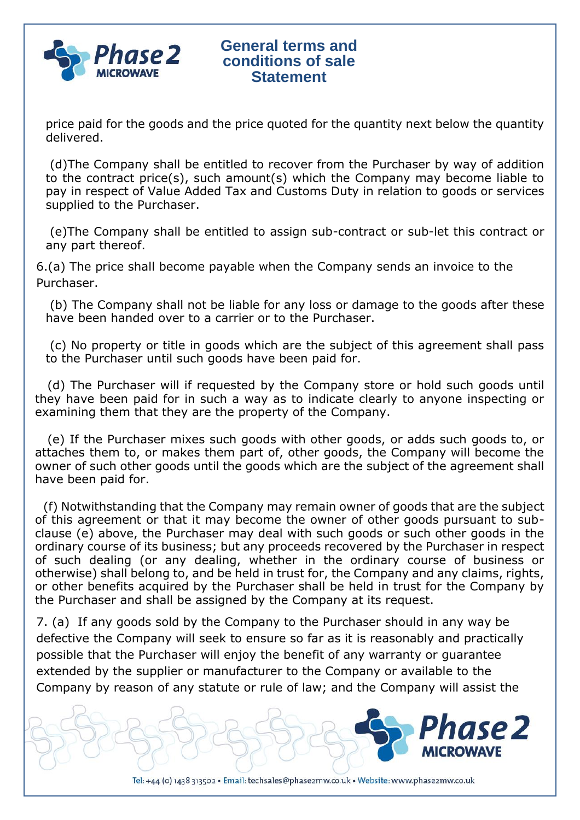

price paid for the goods and the price quoted for the quantity next below the quantity delivered.

(d)The Company shall be entitled to recover from the Purchaser by way of addition to the contract price(s), such amount(s) which the Company may become liable to pay in respect of Value Added Tax and Customs Duty in relation to goods or services supplied to the Purchaser.

(e)The Company shall be entitled to assign sub-contract or sub-let this contract or any part thereof.

6.(a) The price shall become payable when the Company sends an invoice to the Purchaser.

(b) The Company shall not be liable for any loss or damage to the goods after these have been handed over to a carrier or to the Purchaser.

(c) No property or title in goods which are the subject of this agreement shall pass to the Purchaser until such goods have been paid for.

 (d) The Purchaser will if requested by the Company store or hold such goods until they have been paid for in such a way as to indicate clearly to anyone inspecting or examining them that they are the property of the Company.

(e) If the Purchaser mixes such goods with other goods, or adds such goods to, or attaches them to, or makes them part of, other goods, the Company will become the owner of such other goods until the goods which are the subject of the agreement shall have been paid for.

 (f) Notwithstanding that the Company may remain owner of goods that are the subject of this agreement or that it may become the owner of other goods pursuant to subclause (e) above, the Purchaser may deal with such goods or such other goods in the ordinary course of its business; but any proceeds recovered by the Purchaser in respect of such dealing (or any dealing, whether in the ordinary course of business or otherwise) shall belong to, and be held in trust for, the Company and any claims, rights, or other benefits acquired by the Purchaser shall be held in trust for the Company by the Purchaser and shall be assigned by the Company at its request.

7. (a) If any goods sold by the Company to the Purchaser should in any way be defective the Company will seek to ensure so far as it is reasonably and practically possible that the Purchaser will enjoy the benefit of any warranty or guarantee extended by the supplier or manufacturer to the Company or available to the Company by reason of any statute or rule of law; and the Company will assist the

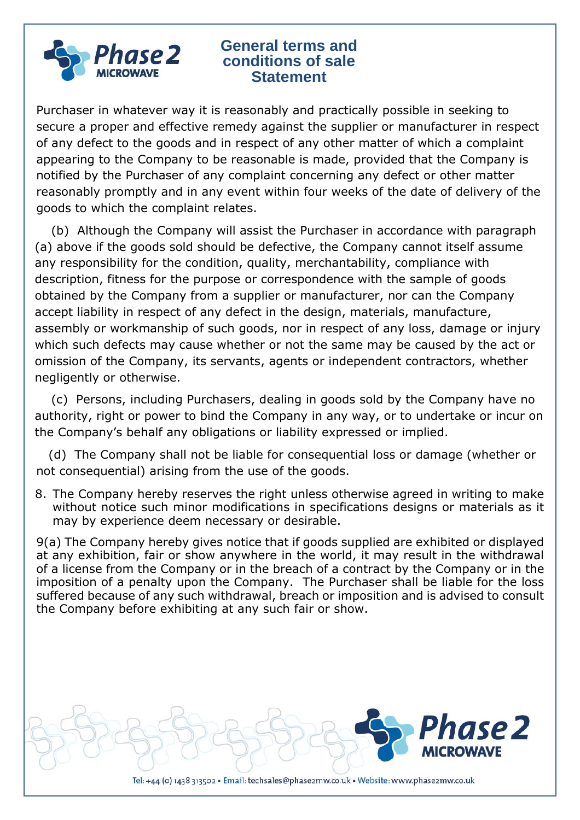

Purchaser in whatever way it is reasonably and practically possible in seeking to secure a proper and effective remedy against the supplier or manufacturer in respect of any defect to the goods and in respect of any other matter of which a complaint appearing to the Company to be reasonable is made, provided that the Company is notified by the Purchaser of any complaint concerning any defect or other matter reasonably promptly and in any event within four weeks of the date of delivery of the goods to which the complaint relates.

 (b) Although the Company will assist the Purchaser in accordance with paragraph (a) above if the goods sold should be defective, the Company cannot itself assume any responsibility for the condition, quality, merchantability, compliance with description, fitness for the purpose or correspondence with the sample of goods obtained by the Company from a supplier or manufacturer, nor can the Company accept liability in respect of any defect in the design, materials, manufacture, assembly or workmanship of such goods, nor in respect of any loss, damage or injury which such defects may cause whether or not the same may be caused by the act or omission of the Company, its servants, agents or independent contractors, whether negligently or otherwise.

 (c) Persons, including Purchasers, dealing in goods sold by the Company have no authority, right or power to bind the Company in any way, or to undertake or incur on the Company's behalf any obligations or liability expressed or implied.

 (d) The Company shall not be liable for consequential loss or damage (whether or not consequential) arising from the use of the goods.

8. The Company hereby reserves the right unless otherwise agreed in writing to make without notice such minor modifications in specifications designs or materials as it may by experience deem necessary or desirable.

9(a) The Company hereby gives notice that if goods supplied are exhibited or displayed at any exhibition, fair or show anywhere in the world, it may result in the withdrawal of a license from the Company or in the breach of a contract by the Company or in the imposition of a penalty upon the Company. The Purchaser shall be liable for the loss suffered because of any such withdrawal, breach or imposition and is advised to consult the Company before exhibiting at any such fair or show.